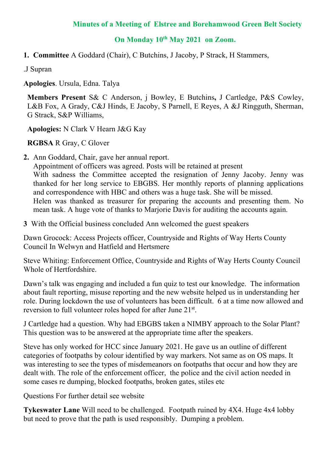## **Minutes of a Meeting of Elstree and Borehamwood Green Belt Society**

## **On Monday 10th May 2021 on Zoom.**

**1. Committee** A Goddard (Chair), C Butchins, J Jacoby, P Strack, H Stammers,

.J Supran

**Apologies**. Ursula, Edna. Talya

**Members Present** S& C Anderson, j Bowley, E Butchins**,** J Cartledge, P&S Cowley, L&B Fox, A Grady, C&J Hinds, E Jacoby, S Parnell, E Reyes, A &J Ringguth, Sherman, G Strack, S&P Williams,

**Apologies:** N Clark V Hearn J&G Kay

**RGBSA** R Gray, C Glover

**2.** Ann Goddard, Chair, gave her annual report.

Appointment of officers was agreed. Posts will be retained at present With sadness the Committee accepted the resignation of Jenny Jacoby. Jenny was thanked for her long service to EBGBS. Her monthly reports of planning applications and correspondence with HBC and others was a huge task. She will be missed. Helen was thanked as treasurer for preparing the accounts and presenting them. No mean task. A huge vote of thanks to Marjorie Davis for auditing the accounts again.

**3** With the Official business concluded Ann welcomed the guest speakers

Dawn Grocock: Access Projects officer, Countryside and Rights of Way Herts County Council In Welwyn and Hatfield and Hertsmere

Steve Whiting: Enforcement Office, Countryside and Rights of Way Herts County Council Whole of Hertfordshire.

Dawn's talk was engaging and included a fun quiz to test our knowledge. The information about fault reporting, misuse reporting and the new website helped us in understanding her role. During lockdown the use of volunteers has been difficult. 6 at a time now allowed and reversion to full volunteer roles hoped for after June 21<sup>st</sup>.

J Cartledge had a question. Why had EBGBS taken a NIMBY approach to the Solar Plant? This question was to be answered at the appropriate time after the speakers.

Steve has only worked for HCC since January 2021. He gave us an outline of different categories of footpaths by colour identified by way markers. Not same as on OS maps. It was interesting to see the types of misdemeanors on footpaths that occur and how they are dealt with. The role of the enforcement officer, the police and the civil action needed in some cases re dumping, blocked footpaths, broken gates, stiles etc

Questions For further detail see website

**Tykeswater Lane** Will need to be challenged. Footpath ruined by 4X4. Huge 4x4 lobby but need to prove that the path is used responsibly. Dumping a problem.